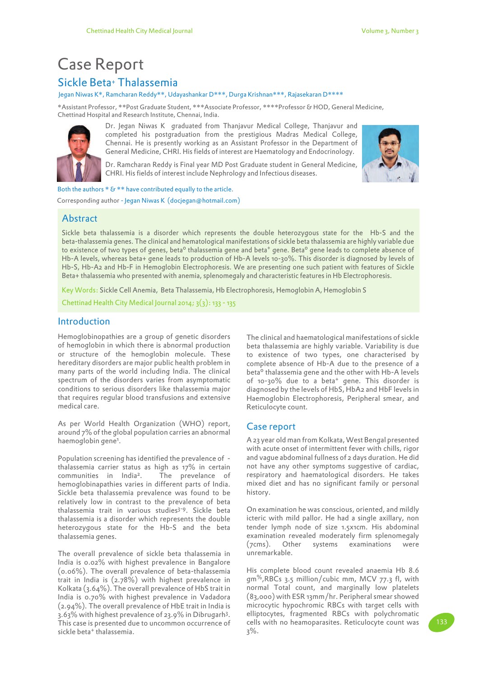# Sickle Beta+ Thalassemia Case Report

#### Jegan Niwas K\*, Ramcharan Reddy\*\*, Udayashankar D\*\*\*, Durga Krishnan\*\*\*, Rajasekaran D\*\*\*\*

\*Assistant Professor, \*\*Post Graduate Student, \*\*\*Associate Professor, \*\*\*\*Professor & HOD, General Medicine, Chettinad Hospital and Research Institute, Chennai, India.



Dr. Jegan Niwas K graduated from Thanjavur Medical College, Thanjavur and completed his postgraduation from the prestigious Madras Medical College, Chennai. He is presently working as an Assistant Professor in the Department of General Medicine, CHRI. His fields of interest are Haematology and Endocrinology.

Dr. Ramcharan Reddy is Final year MD Post Graduate student in General Medicine, CHRI. His fields of interest include Nephrology and Infectious diseases.



Both the authors  $* \mathcal{S} **$  have contributed equally to the article.

Corresponding author - Jegan Niwas K (docjegan@hotmail.com)

# Abstract

Sickle beta thalassemia is a disorder which represents the double heterozygous state for the Hb-S and the beta-thalassemia genes. The clinical and hematological manifestations of sickle beta thalassemia are highly variable due to existence of two types of genes, beta<sup>o</sup> thalassemia gene and beta<sup>+</sup> gene. Beta<sup>o</sup> gene leads to complete absence of Hb-A levels, whereas beta+ gene leads to production of Hb-A levels 10-30%. This disorder is diagnosed by levels of Hb-S, Hb-A2 and Hb-F in Hemoglobin Electrophoresis. We are presenting one such patient with features of Sickle Beta+ thalassemia who presented with anemia, splenomegaly and characteristic features in Hb Electrophoresis.

Key Words: Sickle Cell Anemia, Beta Thalassemia, Hb Electrophoresis, Hemoglobin A, Hemoglobin S

Chettinad Health City Medical Journal 2014; 3(3): 133 - 135

# **Introduction**

Hemoglobinopathies are a group of genetic disorders of hemoglobin in which there is abnormal production or structure of the hemoglobin molecule. These hereditary disorders are major public health problem in many parts of the world including India. The clinical spectrum of the disorders varies from asymptomatic conditions to serious disorders like thalassemia major that requires regular blood transfusions and extensive medical care.

As per World Health Organization (WHO) report, around 7% of the global population carries an abnormal haemoglobin gene<sup>1</sup>.

Population screening has identified the prevalence of thalassemia carrier status as high as 17% in certain communities in India<sup>2</sup> . The prevelance of hemoglobinapathies varies in different parts of India. Sickle beta thalassemia prevalence was found to be relatively low in contrast to the prevalence of beta thalassemia trait in various studies<sup>3-9</sup>. Sickle beta thalassemia is a disorder which represents the double heterozygous state for the Hb-S and the beta thalassemia genes.

The overall prevalence of sickle beta thalassemia in India is 0.02% with highest prevalence in Bangalore (0.06%). The overall prevalence of beta-thalassemia trait in India is (2.78%) with highest prevalence in Kolkata (3.64%). The overall prevalence of HbS trait in India is 0.70% with highest prevalence in Vadadora (2.94%). The overall prevalence of HbE trait in India is 3.63% with highest prevalence of 23.9% in Dibrugarh<sup>3</sup> . This case is presented due to uncommon occurrence of sickle beta<sup>+</sup> thalassemia.

The clinical and haematological manifestations of sickle beta thalassemia are highly variable. Variability is due to existence of two types, one characterised by complete absence of Hb-A due to the presence of a beta<sup>o</sup> thalassemia gene and the other with Hb-A levels of 10-30% due to a beta<sup>+</sup> gene. This disorder is diagnosed by the levels of HbS, HbA2 and HbF levels in Haemoglobin Electrophoresis, Peripheral smear, and Reticulocyte count.

## Case report

A 23 year old man from Kolkata, West Bengal presented with acute onset of intermittent fever with chills, rigor and vague abdominal fullness of 2 days duration. He did not have any other symptoms suggestive of cardiac, respiratory and haematological disorders. He takes mixed diet and has no significant family or personal history.

On examination he was conscious, oriented, and mildly icteric with mild pallor. He had a single axillary, non tender lymph node of size 1.5x1cm. His abdominal examination revealed moderately firm splenomegaly (7cms). Other systems examinations were unremarkable.

His complete blood count revealed anaemia Hb 8.6  $gm<sup>%</sup>, RBCs$  3.5 million/cubic mm, MCV 77.3 fl, with normal Total count, and marginally low platelets (83,000) with ESR 13mm/hr. Peripheral smear showed microcytic hypochromic RBCs with target cells with elliptocytes, fragmented RBCs with polychromatic cells with no heamoparasites. Reticulocyte count was 3%.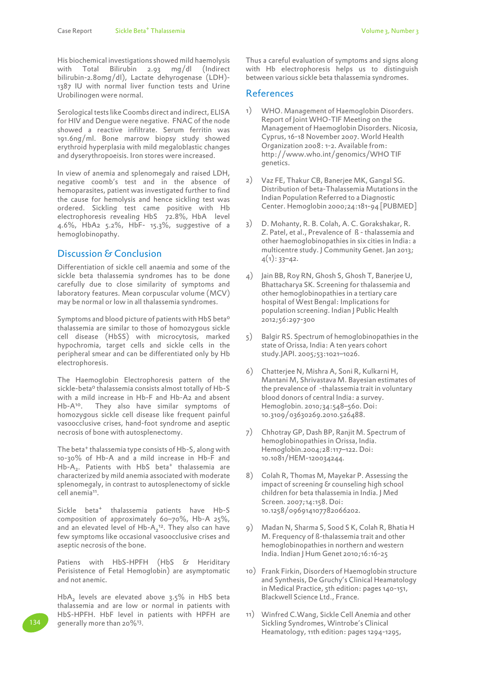His biochemical investigations showed mild haemolysis with Total Bilirubin 2.93 mg/dl (Indirect bilirubin-2.80mg/dl), Lactate dehyrogenase (LDH)- 1387 IU with normal liver function tests and Urine Urobilinogen were normal.

Serological tests like Coombs direct and indirect, ELISA for HIV and Dengue were negative. FNAC of the node showed a reactive infiltrate. Serum ferritin was 191.6ng/ml. Bone marrow biopsy study showed erythroid hyperplasia with mild megaloblastic changes and dyserythropoeisis. Iron stores were increased.

In view of anemia and splenomegaly and raised LDH, negative coomb's test and in the absence of hemoparasites, patient was investigated further to find the cause for hemolysis and hence sickling test was ordered. Sickling test came positive with Hb electrophoresis revealing HbS 72.8%, HbA level 4.6%, HbA2 5.2%, HbF- 15.3%, suggestive of a hemoglobinopathy.

## Discussion & Conclusion

Differentiation of sickle cell anaemia and some of the sickle beta thalassemia syndromes has to be done carefully due to close similarity of symptoms and laboratory features. Mean corpuscular volume (MCV) may be normal or low in all thalassemia syndromes.

Symptoms and blood picture of patients with HbS beta<sup>o</sup> thalassemia are similar to those of homozygous sickle cell disease (HbSS) with microcytosis, marked hypochromia, target cells and sickle cells in the peripheral smear and can be differentiated only by Hb electrophoresis.

The Haemoglobin Electrophoresis pattern of the sickle-beta<sup>o</sup> thalassemia consists almost totally of Hb-S with a mild increase in Hb-F and Hb-A2 and absent Hb-A10. They also have similar symptoms of homozygous sickle cell disease like frequent painful vasoocclusive crises, hand-foot syndrome and aseptic necrosis of bone with autosplenectomy.

The beta<sup>+</sup> thalassemia type consists of Hb-S, along with 10-30% of Hb-A and a mild increase in Hb-F and Hb-A<sub>2</sub>. Patients with HbS beta<sup>+</sup> thalassemia are characterized by mild anemia associated with moderate splenomegaly, in contrast to autosplenectomy of sickle cell anemia<sup>11</sup>.

Sickle beta+ thalassemia patients have Hb-S composition of approximately 60–70%, Hb-A 25%, and an elevated level of  $Hb-A_2^{\ 12}$ . They also can have few symptoms like occasional vasoocclusive crises and aseptic necrosis of the bone.

Patiens with HbS-HPFH (HbS & Heriditary Perisistence of Fetal Hemoglobin) are asymptomatic and not anemic.

 $HbA<sub>2</sub>$  levels are elevated above 3.5% in HbS beta thalassemia and are low or normal in patients with HbS-HPFH. HbF level in patients with HPFH are generally more than 20%<sup>13</sup>.

Thus a careful evaluation of symptoms and signs along with Hb electrophoresis helps us to distinguish between various sickle beta thalassemia syndromes.

#### References

- 1) WHO. Management of Haemoglobin Disorders. Report of Joint WHO-TIF Meeting on the Management of Haemoglobin Disorders. Nicosia, Cyprus, 16-18 November 2007. World Health Organization 2008: 1-2. Available from: http://www.who.int/genomics/WHO TIF genetics.
- 2) Vaz FE, Thakur CB, Banerjee MK, Gangal SG. Distribution of beta-Thalassemia Mutations in the Indian Population Referred to a Diagnostic Center. Hemoglobin 2000;24:181-94 [PUBMED]
- 3) D. Mohanty, R. B. Colah, A. C. Gorakshakar, R. Z. Patel, et al., Prevalence of ß - thalassemia and other haemoglobinopathies in six cities in India: a multicentre study. J Community Genet. Jan 2013;  $4(1): 33-42.$
- 4) Jain BB, Roy RN, Ghosh S, Ghosh T, Banerjee U, Bhattacharya SK. Screening for thalassemia and other hemoglobinopathies in a tertiary care hospital of West Bengal: Implications for population screening. Indian J Public Health 2012;56:297-300
- 5) Balgir RS. Spectrum of hemoglobinopathies in the state of Orissa, India: A ten years cohort study.JAPI. 2005;53:1021–1026.
- 6) Chatterjee N, Mishra A, Soni R, Kulkarni H, Mantani M, Shrivastava M. Bayesian estimates of the prevalence of -thalassemia trait in voluntary blood donors of central India: a survey. Hemoglobin. 2010;34:548–560. Doi: 10.3109/03630269.2010.526488.
- 7) Chhotray GP, Dash BP, Ranjit M. Spectrum of hemoglobinopathies in Orissa, India. Hemoglobin.2004;28:117–122. Doi: 10.1081/HEM-120034244.
- 8) Colah R, Thomas M, Mayekar P. Assessing the impact of screening & counseling high school children for beta thalassemia in India. J Med Screen. 2007;14:158. Doi: 10.1258/096914107782066202.
- 9) Madan N, Sharma S, Sood S K, Colah R, Bhatia H M. Frequency of ß-thalassemia trait and other hemoglobinopathies in northern and western India. Indian J Hum Genet 2010;16:16-25
- 10) Frank Firkin, Disorders of Haemoglobin structure and Synthesis, De Gruchy's Clinical Heamatology in Medical Practice, 5th edition: pages 140-151, Blackwell Science Ltd., France.
- 11) Winfred C.Wang, Sickle Cell Anemia and other Sickling Syndromes, Wintrobe's Clinical Heamatology, 11th edition: pages 1294-1295,

134